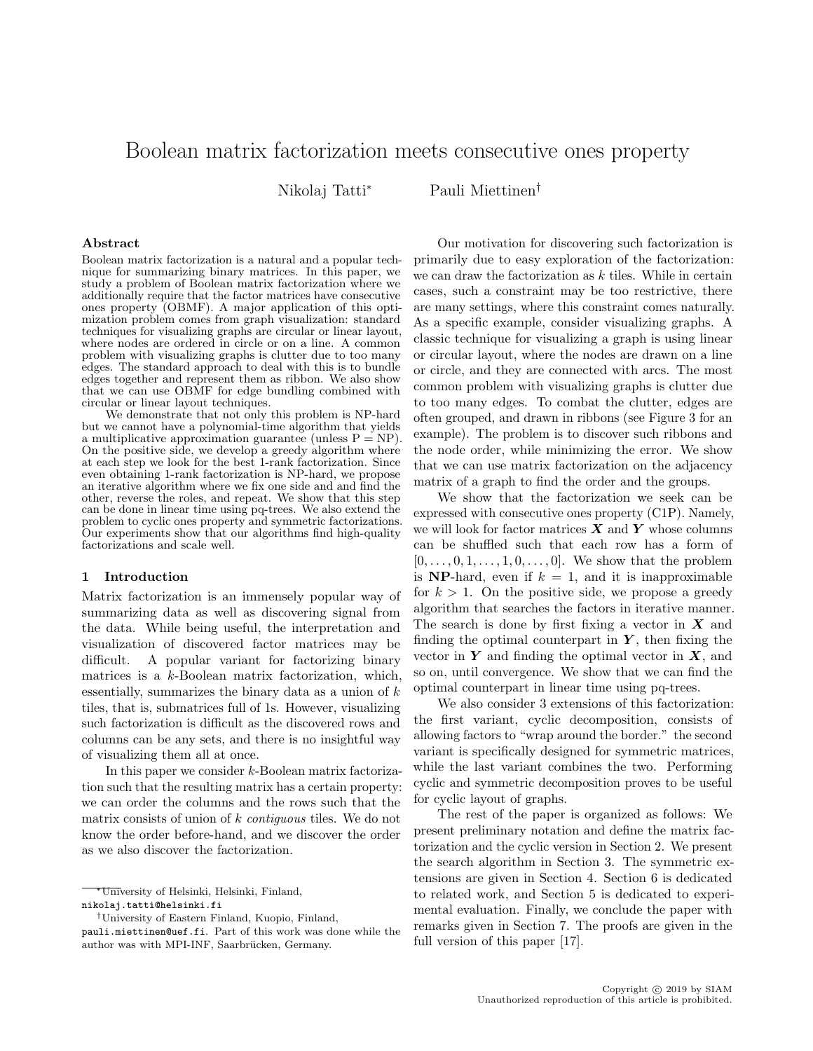# Boolean matrix factorization meets consecutive ones property

Nikolaj Tatti<sup>∗</sup> Pauli Miettinen†

#### Abstract

Boolean matrix factorization is a natural and a popular technique for summarizing binary matrices. In this paper, we study a problem of Boolean matrix factorization where we additionally require that the factor matrices have consecutive ones property (OBMF). A major application of this optimization problem comes from graph visualization: standard techniques for visualizing graphs are circular or linear layout, where nodes are ordered in circle or on a line. A common problem with visualizing graphs is clutter due to too many edges. The standard approach to deal with this is to bundle edges together and represent them as ribbon. We also show that we can use OBMF for edge bundling combined with circular or linear layout techniques.

We demonstrate that not only this problem is NP-hard but we cannot have a polynomial-time algorithm that yields a multiplicative approximation guarantee (unless  $P = NP$ ). On the positive side, we develop a greedy algorithm where at each step we look for the best 1-rank factorization. Since even obtaining 1-rank factorization is NP-hard, we propose an iterative algorithm where we fix one side and and find the other, reverse the roles, and repeat. We show that this step can be done in linear time using pq-trees. We also extend the problem to cyclic ones property and symmetric factorizations. Our experiments show that our algorithms find high-quality factorizations and scale well.

## 1 Introduction

Matrix factorization is an immensely popular way of summarizing data as well as discovering signal from the data. While being useful, the interpretation and visualization of discovered factor matrices may be difficult. A popular variant for factorizing binary matrices is a k-Boolean matrix factorization, which, essentially, summarizes the binary data as a union of  $k$ tiles, that is, submatrices full of 1s. However, visualizing such factorization is difficult as the discovered rows and columns can be any sets, and there is no insightful way of visualizing them all at once.

In this paper we consider k-Boolean matrix factorization such that the resulting matrix has a certain property: we can order the columns and the rows such that the matrix consists of union of k contiguous tiles. We do not know the order before-hand, and we discover the order as we also discover the factorization.

Our motivation for discovering such factorization is primarily due to easy exploration of the factorization: we can draw the factorization as  $k$  tiles. While in certain cases, such a constraint may be too restrictive, there are many settings, where this constraint comes naturally. As a specific example, consider visualizing graphs. A classic technique for visualizing a graph is using linear or circular layout, where the nodes are drawn on a line or circle, and they are connected with arcs. The most common problem with visualizing graphs is clutter due to too many edges. To combat the clutter, edges are often grouped, and drawn in ribbons (see Figure 3 for an example). The problem is to discover such ribbons and the node order, while minimizing the error. We show that we can use matrix factorization on the adjacency matrix of a graph to find the order and the groups.

We show that the factorization we seek can be expressed with consecutive ones property (C1P). Namely, we will look for factor matrices  $\boldsymbol{X}$  and  $\boldsymbol{Y}$  whose columns can be shuffled such that each row has a form of  $[0, \ldots, 0, 1, \ldots, 1, 0, \ldots, 0]$ . We show that the problem is NP-hard, even if  $k = 1$ , and it is inapproximable for  $k > 1$ . On the positive side, we propose a greedy algorithm that searches the factors in iterative manner. The search is done by first fixing a vector in  $X$  and finding the optimal counterpart in  $Y$ , then fixing the vector in  $Y$  and finding the optimal vector in  $X$ , and so on, until convergence. We show that we can find the optimal counterpart in linear time using pq-trees.

We also consider 3 extensions of this factorization: the first variant, cyclic decomposition, consists of allowing factors to "wrap around the border." the second variant is specifically designed for symmetric matrices, while the last variant combines the two. Performing cyclic and symmetric decomposition proves to be useful for cyclic layout of graphs.

The rest of the paper is organized as follows: We present preliminary notation and define the matrix factorization and the cyclic version in Section 2. We present the search algorithm in Section 3. The symmetric extensions are given in Section 4. Section 6 is dedicated to related work, and Section 5 is dedicated to experimental evaluation. Finally, we conclude the paper with remarks given in Section 7. The proofs are given in the full version of this paper [17].

<sup>∗</sup>University of Helsinki, Helsinki, Finland, nikolaj.tatti@helsinki.fi

<sup>†</sup>University of Eastern Finland, Kuopio, Finland,

pauli.miettinen@uef.fi. Part of this work was done while the author was with MPI-INF, Saarbrücken, Germany.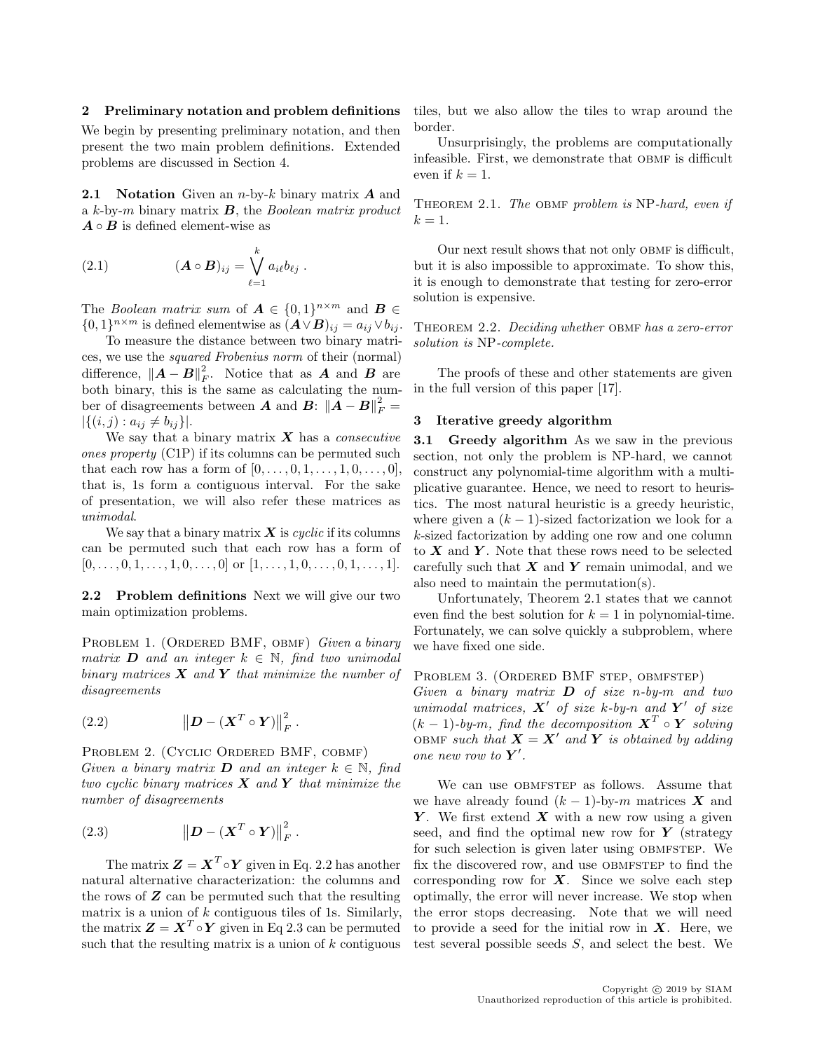## 2 Preliminary notation and problem definitions

We begin by presenting preliminary notation, and then present the two main problem definitions. Extended problems are discussed in Section 4.

**2.1 Notation** Given an *n*-by-k binary matrix  $\boldsymbol{A}$  and a  $k$ -by-m binary matrix  $\boldsymbol{B}$ , the Boolean matrix product  $A \circ B$  is defined element-wise as

(2.1) 
$$
(\mathbf{A} \circ \mathbf{B})_{ij} = \bigvee_{\ell=1}^k a_{i\ell} b_{\ell j} .
$$

The *Boolean matrix sum* of  $A \in \{0,1\}^{n \times m}$  and  $B \in$  $\{0,1\}^{n \times m}$  is defined elementwise as  $(\mathbf{A} \vee \mathbf{B})_{ij} = a_{ij} \vee b_{ij}$ .

To measure the distance between two binary matrices, we use the squared Frobenius norm of their (normal) difference,  $||A - B||_F^2$ . Notice that as A and B are both binary, this is the same as calculating the number of disagreements between **A** and **B**:  $\|\vec{A} - \vec{B}\|^2_F =$  $|\{(i, j) : a_{ij} \neq b_{ij}\}|.$ 

We say that a binary matrix  $X$  has a *consecutive* ones property (C1P) if its columns can be permuted such that each row has a form of  $[0, ..., 0, 1, ..., 1, 0, ..., 0],$ that is, 1s form a contiguous interval. For the sake of presentation, we will also refer these matrices as unimodal.

We say that a binary matrix  $\boldsymbol{X}$  is cyclic if its columns can be permuted such that each row has a form of  $[0, \ldots, 0, 1, \ldots, 1, 0, \ldots, 0]$  or  $[1, \ldots, 1, 0, \ldots, 0, 1, \ldots, 1].$ 

2.2 Problem definitions Next we will give our two main optimization problems.

PROBLEM 1. (ORDERED BMF, OBMF) Given a binary matrix **D** and an integer  $k \in \mathbb{N}$ , find two unimodal binary matrices  $\boldsymbol{X}$  and  $\boldsymbol{Y}$  that minimize the number of disagreements

(2.2) 
$$
\left\| \boldsymbol{D} - (\boldsymbol{X}^T \circ \boldsymbol{Y}) \right\|_F^2.
$$

PROBLEM 2. (CYCLIC ORDERED BMF, COBMF) Given a binary matrix **D** and an integer  $k \in \mathbb{N}$ , find two cyclic binary matrices  $X$  and  $Y$  that minimize the number of disagreements

(2.3) 
$$
\left\| \boldsymbol{D} - (\boldsymbol{X}^T \circ \boldsymbol{Y}) \right\|_F^2.
$$

The matrix  $\mathbf{Z} = \mathbf{X}^T \circ \mathbf{Y}$  given in Eq. 2.2 has another natural alternative characterization: the columns and the rows of  $Z$  can be permuted such that the resulting matrix is a union of  $k$  contiguous tiles of 1s. Similarly, the matrix  $\boldsymbol{Z} = \boldsymbol{X}^T \circ \boldsymbol{Y}$  given in Eq 2.3 can be permuted such that the resulting matrix is a union of  $k$  contiguous

tiles, but we also allow the tiles to wrap around the border.

Unsurprisingly, the problems are computationally infeasible. First, we demonstrate that OBMF is difficult even if  $k = 1$ .

THEOREM 2.1. The OBMF problem is NP-hard, even if  $k=1$ .

Our next result shows that not only OBMF is difficult, but it is also impossible to approximate. To show this, it is enough to demonstrate that testing for zero-error solution is expensive.

THEOREM 2.2. Deciding whether OBMF has a zero-error solution is NP-complete.

The proofs of these and other statements are given in the full version of this paper [17].

## 3 Iterative greedy algorithm

**3.1 Greedy algorithm** As we saw in the previous section, not only the problem is NP-hard, we cannot construct any polynomial-time algorithm with a multiplicative guarantee. Hence, we need to resort to heuristics. The most natural heuristic is a greedy heuristic, where given a  $(k - 1)$ -sized factorization we look for a k-sized factorization by adding one row and one column to  $X$  and  $Y$ . Note that these rows need to be selected carefully such that  $X$  and  $Y$  remain unimodal, and we also need to maintain the permutation(s).

Unfortunately, Theorem 2.1 states that we cannot even find the best solution for  $k = 1$  in polynomial-time. Fortunately, we can solve quickly a subproblem, where we have fixed one side.

## PROBLEM 3. (ORDERED BMF STEP, OBMFSTEP)

Given a binary matrix  $D$  of size n-by-m and two unimodal matrices,  $X'$  of size k-by-n and  $Y'$  of size  $(k-1)$ -by-m, find the decomposition  $X^T \circ Y$  solving OBMF such that  $\mathbf{X} = \mathbf{X}'$  and  $\mathbf{Y}$  is obtained by adding one new row to  $Y'$ .

We can use OBMFSTEP as follows. Assume that we have already found  $(k-1)$ -by-m matrices X and Y. We first extend  $X$  with a new row using a given seed, and find the optimal new row for  $Y$  (strategy for such selection is given later using OBMFSTEP. We fix the discovered row, and use OBMFSTEP to find the corresponding row for  $X$ . Since we solve each step optimally, the error will never increase. We stop when the error stops decreasing. Note that we will need to provide a seed for the initial row in  $X$ . Here, we test several possible seeds S, and select the best. We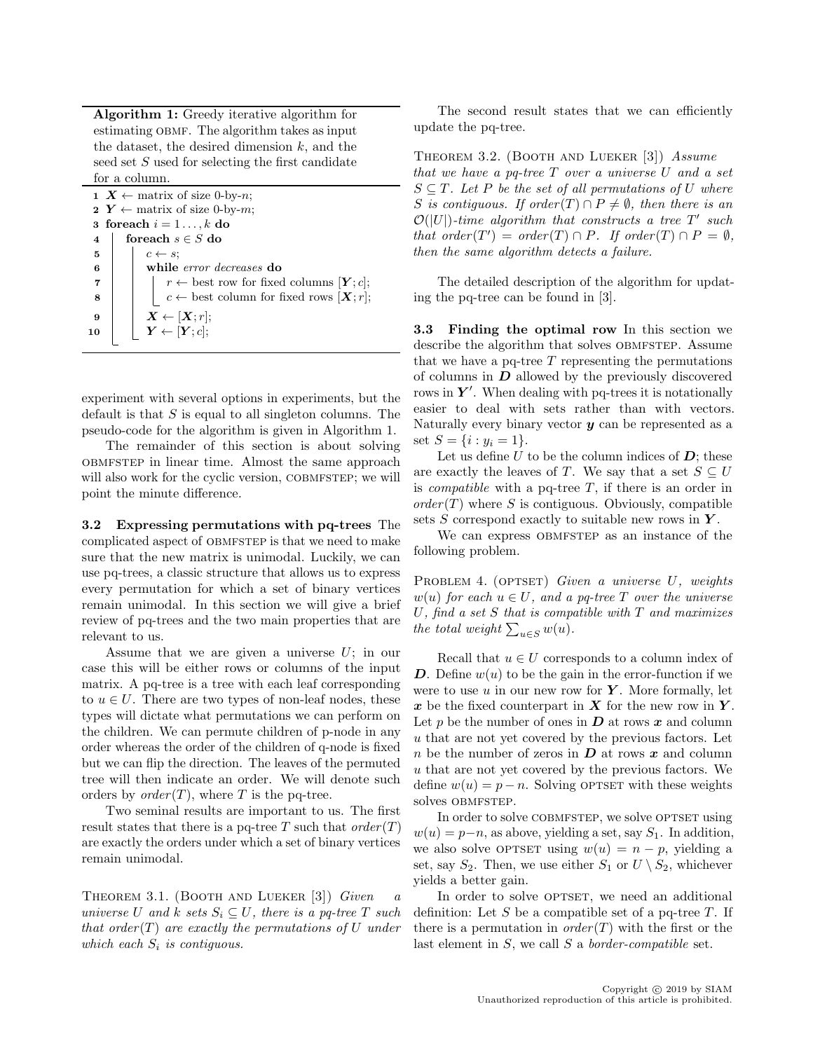Algorithm 1: Greedy iterative algorithm for estimating OBMF. The algorithm takes as input the dataset, the desired dimension  $k$ , and the seed set S used for selecting the first candidate for a column.

1  $X \leftarrow$  matrix of size 0-by-n; 2  $Y \leftarrow$  matrix of size 0-by-m; 3 for each  $i = 1 \ldots, k$  do 4 for each  $s \in S$  do  $\mathbf{5}$  |  $c \leftarrow s$ ; 6 while error decreases do 7 | |  $r \leftarrow$  best row for fixed columns  $[Y; c]$ ; 8  $\vert \vert$   $\vert$   $c \leftarrow$  best column for fixed rows  $[\mathbf{X}; r];$ 9  $\mid X \leftarrow [X; r];$ 10  $\vert Y \leftarrow [Y;c];$ 

experiment with several options in experiments, but the default is that  $S$  is equal to all singleton columns. The pseudo-code for the algorithm is given in Algorithm 1.

The remainder of this section is about solving obmfstep in linear time. Almost the same approach will also work for the cyclic version, COBMFSTEP; we will point the minute difference.

3.2 Expressing permutations with pq-trees The complicated aspect of OBMFSTEP is that we need to make sure that the new matrix is unimodal. Luckily, we can use pq-trees, a classic structure that allows us to express every permutation for which a set of binary vertices remain unimodal. In this section we will give a brief review of pq-trees and the two main properties that are relevant to us.

Assume that we are given a universe  $U$ ; in our case this will be either rows or columns of the input matrix. A pq-tree is a tree with each leaf corresponding to  $u \in U$ . There are two types of non-leaf nodes, these types will dictate what permutations we can perform on the children. We can permute children of p-node in any order whereas the order of the children of q-node is fixed but we can flip the direction. The leaves of the permuted tree will then indicate an order. We will denote such orders by  $order(T)$ , where T is the pq-tree.

Two seminal results are important to us. The first result states that there is a pq-tree T such that  $order(T)$ are exactly the orders under which a set of binary vertices remain unimodal.

THEOREM 3.1. (BOOTH AND LUEKER [3]) Given  $a$ universe U and k sets  $S_i \subseteq U$ , there is a pq-tree T such that order  $(T)$  are exactly the permutations of U under which each  $S_i$  is contiguous.

The second result states that we can efficiently update the pq-tree.

THEOREM 3.2. (BOOTH AND LUEKER [3]) Assume that we have a pq-tree T over a universe U and a set  $S \subseteq T$ . Let P be the set of all permutations of U where S is contiguous. If order  $(T) \cap P \neq \emptyset$ , then there is an  $\mathcal{O}(|U|)$ -time algorithm that constructs a tree T' such that order  $(T') = order(T) \cap P$ . If order  $(T) \cap P = \emptyset$ , then the same algorithm detects a failure.

The detailed description of the algorithm for updating the pq-tree can be found in [3].

3.3 Finding the optimal row In this section we describe the algorithm that solves OBMFSTEP. Assume that we have a pq-tree  $T$  representing the permutations of columns in  $D$  allowed by the previously discovered rows in  $Y'$ . When dealing with pq-trees it is notationally easier to deal with sets rather than with vectors. Naturally every binary vector  $y$  can be represented as a set  $S = \{i : y_i = 1\}.$ 

Let us define  $U$  to be the column indices of  $D$ ; these are exactly the leaves of T. We say that a set  $S \subseteq U$ is *compatible* with a pq-tree  $T$ , if there is an order in  $order(T)$  where S is contiguous. Obviously, compatible sets  $S$  correspond exactly to suitable new rows in  $Y$ .

We can express OBMFSTEP as an instance of the following problem.

PROBLEM 4. (OPTSET) Given a universe  $U$ , weights  $w(u)$  for each  $u \in U$ , and a pq-tree T over the universe  $U$ , find a set  $S$  that is compatible with  $T$  and maximizes the total weight  $\sum_{u \in S} w(u)$ .

Recall that  $u \in U$  corresponds to a column index of D. Define  $w(u)$  to be the gain in the error-function if we were to use  $u$  in our new row for  $Y$ . More formally, let x be the fixed counterpart in  $X$  for the new row in  $Y$ . Let  $p$  be the number of ones in  $D$  at rows  $x$  and column u that are not yet covered by the previous factors. Let n be the number of zeros in  $\boldsymbol{D}$  at rows x and column u that are not yet covered by the previous factors. We define  $w(u) = p - n$ . Solving OPTSET with these weights solves OBMFSTEP.

In order to solve COBMFSTEP, we solve OPTSET using  $w(u) = p-n$ , as above, yielding a set, say  $S_1$ . In addition, we also solve OPTSET using  $w(u) = n - p$ , yielding a set, say  $S_2$ . Then, we use either  $S_1$  or  $U \setminus S_2$ , whichever yields a better gain.

In order to solve OPTSET, we need an additional definition: Let  $S$  be a compatible set of a pq-tree  $T$ . If there is a permutation in  $order(T)$  with the first or the last element in S, we call S a border-compatible set.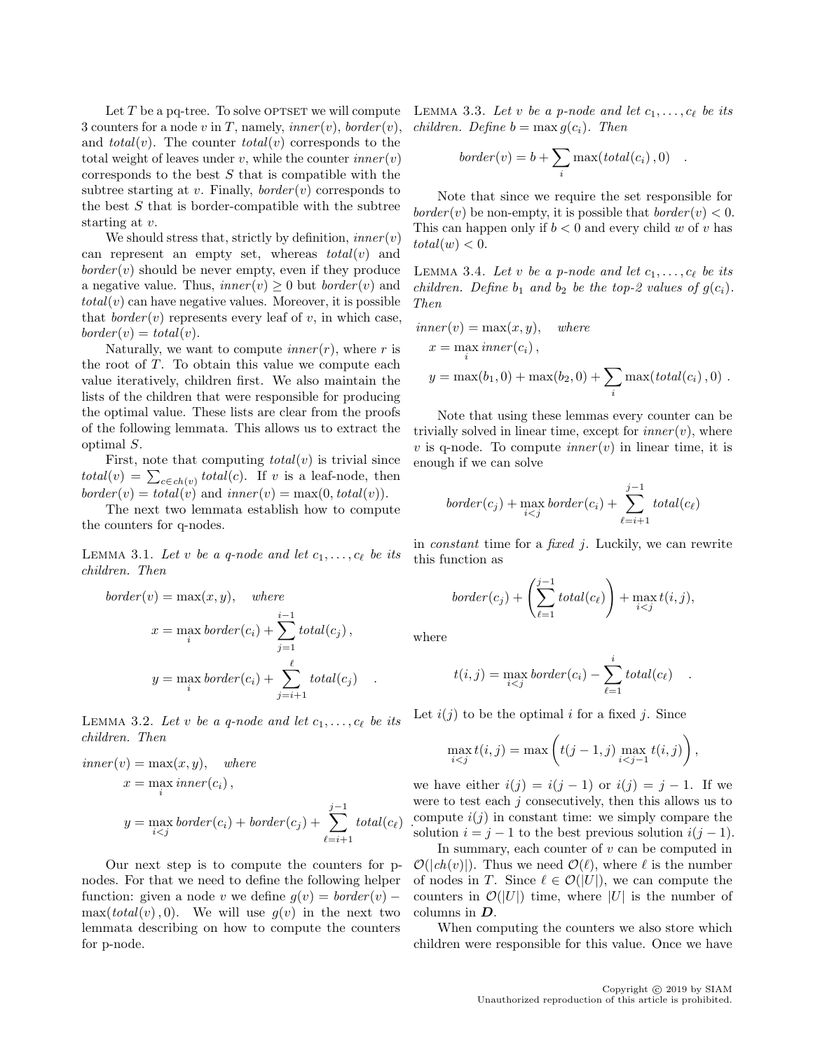Let  $T$  be a pq-tree. To solve OPTSET we will compute 3 counters for a node v in T, namely,  $inner(v)$ ,  $border(v)$ , and  $total(v)$ . The counter  $total(v)$  corresponds to the total weight of leaves under  $v$ , while the counter  $inner(v)$ corresponds to the best  $S$  that is compatible with the subtree starting at v. Finally,  $border(v)$  corresponds to the best  $S$  that is border-compatible with the subtree starting at v.

We should stress that, strictly by definition,  $inner(v)$ can represent an empty set, whereas  $total(v)$  and  $border(v)$  should be never empty, even if they produce a negative value. Thus,  $inner(v) \geq 0$  but  $border(v)$  and  $total(v)$  can have negative values. Moreover, it is possible that  $border(v)$  represents every leaf of v, in which case,  $border(v) = total(v).$ 

Naturally, we want to compute *inner* $(r)$ , where r is the root of  $T$ . To obtain this value we compute each value iteratively, children first. We also maintain the lists of the children that were responsible for producing the optimal value. These lists are clear from the proofs of the following lemmata. This allows us to extract the optimal S.

First, note that computing  $total(v)$  is trivial since  $total(v) = \sum_{c \in ch(v)} total(c)$ . If v is a leaf-node, then  $border(v) = total(v)$  and  $inner(v) = max(0, total(v))$ .

The next two lemmata establish how to compute the counters for q-nodes.

LEMMA 3.1. Let v be a q-node and let  $c_1, \ldots, c_\ell$  be its children. Then

$$
border(v) = \max(x, y), \quad where
$$

$$
x = \max_{i} border(c_i) + \sum_{j=1}^{i-1} total(c_j),
$$

$$
y = \max_{i} border(c_i) + \sum_{j=i+1}^{\ell} total(c_j) .
$$

LEMMA 3.2. Let v be a q-node and let  $c_1, \ldots, c_\ell$  be its children. Then

$$
inner(v) = \max(x, y), \quad where
$$
  
\n
$$
x = \max_{i} inner(c_i),
$$
  
\n
$$
y = \max_{i < j} border(c_i) + border(c_j) + \sum_{\ell=i+1}^{j-1} total(c_{\ell}).
$$

Our next step is to compute the counters for pnodes. For that we need to define the following helper function: given a node v we define  $q(v) = border(v) \max(total(v), 0)$ . We will use  $g(v)$  in the next two lemmata describing on how to compute the counters for p-node.

LEMMA 3.3. Let v be a p-node and let  $c_1, \ldots, c_\ell$  be its children. Define  $b = \max g(c_i)$ . Then

$$
border(v) = b + \sum_{i} \max(total(c_i), 0) .
$$

Note that since we require the set responsible for *border* (*v*) be non-empty, it is possible that  $border(v) < 0$ . This can happen only if  $b < 0$  and every child w of v has  $total(w) < 0.$ 

LEMMA 3.4. Let v be a p-node and let  $c_1, \ldots, c_\ell$  be its children. Define  $b_1$  and  $b_2$  be the top-2 values of  $g(c_i)$ . Then

$$
inner(v) = \max(x, y), \quad where
$$
  
\n
$$
x = \max_{i} inner(c_i),
$$
  
\n
$$
y = \max(b_1, 0) + \max(b_2, 0) + \sum_{i} \max(total(c_i), 0).
$$

Note that using these lemmas every counter can be trivially solved in linear time, except for  $inner(v)$ , where v is q-node. To compute  $inner(v)$  in linear time, it is enough if we can solve

$$
border(c_j) + \max_{i < j} border(c_i) + \sum_{\ell=i+1}^{j-1} total(c_\ell)
$$

in *constant* time for a *fixed*  $j$ . Luckily, we can rewrite this function as

$$
border(c_j) + \left(\sum_{\ell=1}^{j-1} total(c_{\ell})\right) + \max_{i < j} t(i, j),
$$

where

$$
t(i,j) = \max_{i < j} border(c_i) - \sum_{\ell=1}^{i} total(c_{\ell}) .
$$

Let  $i(j)$  to be the optimal i for a fixed j. Since

$$
\max_{i < j} t(i, j) = \max\left(t(j - 1, j) \max_{i < j - 1} t(i, j)\right),\,
$$

we have either  $i(j) = i(j-1)$  or  $i(j) = j-1$ . If we were to test each  $j$  consecutively, then this allows us to compute  $i(j)$  in constant time: we simply compare the solution  $i = j - 1$  to the best previous solution  $i(j - 1)$ .

In summary, each counter of  $v$  can be computed in  $\mathcal{O}(|ch(v)|)$ . Thus we need  $\mathcal{O}(\ell)$ , where  $\ell$  is the number of nodes in T. Since  $\ell \in \mathcal{O}(|U|)$ , we can compute the counters in  $\mathcal{O}(|U|)$  time, where |U| is the number of columns in D.

When computing the counters we also store which children were responsible for this value. Once we have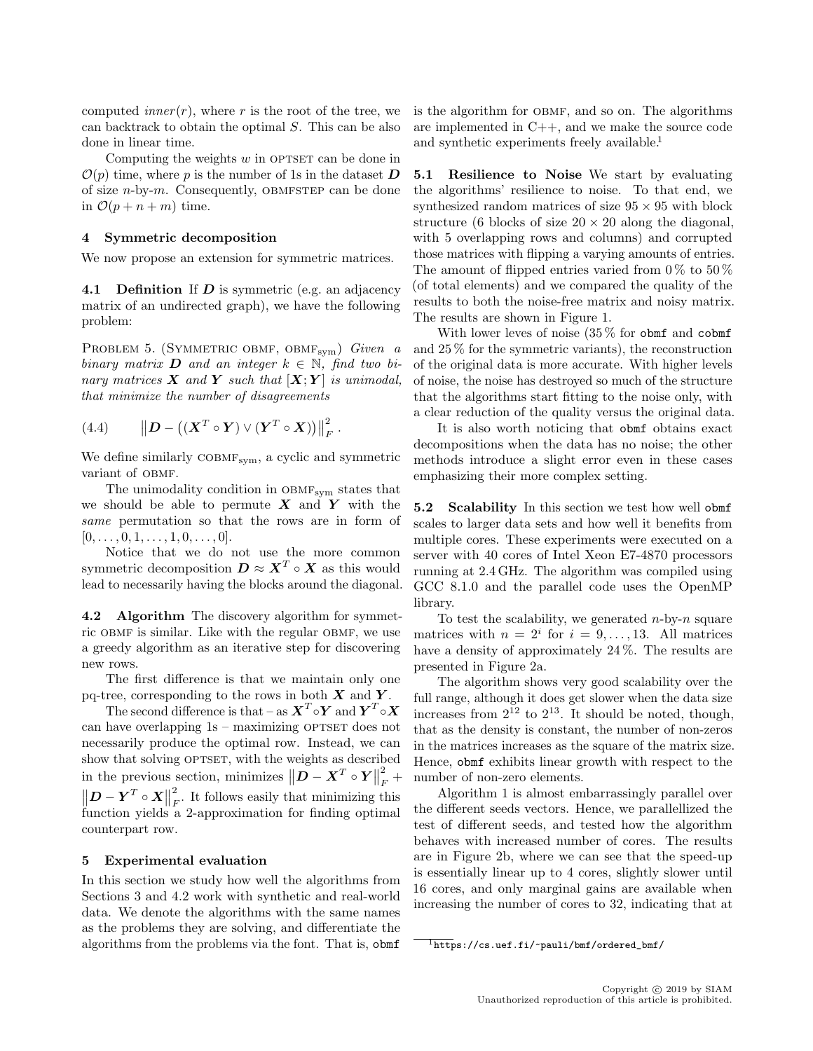computed *inner* $(r)$ , where r is the root of the tree, we can backtrack to obtain the optimal S. This can be also done in linear time.

Computing the weights  $w$  in OPTSET can be done in  $\mathcal{O}(p)$  time, where p is the number of 1s in the dataset **D** of size  $n$ -by- $m$ . Consequently, OBMFSTEP can be done in  $\mathcal{O}(p + n + m)$  time.

#### 4 Symmetric decomposition

We now propose an extension for symmetric matrices.

**4.1 Definition** If  $D$  is symmetric (e.g. an adjacency matrix of an undirected graph), we have the following problem:

PROBLEM 5. (SYMMETRIC OBMF, OBMF<sub>sym</sub>) Given a binary matrix **D** and an integer  $k \in \mathbb{N}$ , find two binary matrices  $X$  and  $Y$  such that  $[X;Y]$  is unimodal, that minimize the number of disagreements

(4.4) 
$$
\left\| \boldsymbol{D} - \left( (\boldsymbol{X}^T \circ \boldsymbol{Y}) \vee (\boldsymbol{Y}^T \circ \boldsymbol{X}) \right) \right\|_F^2.
$$

We define similarly COBMF<sub>sym</sub>, a cyclic and symmetric variant of OBMF.

The unimodality condition in  $OBMF<sub>sym</sub>$  states that we should be able to permute  $X$  and  $Y$  with the same permutation so that the rows are in form of  $[0, \ldots, 0, 1, \ldots, 1, 0, \ldots, 0].$ 

Notice that we do not use the more common symmetric decomposition  $D \approx X^T \circ X$  as this would lead to necessarily having the blocks around the diagonal.

4.2 Algorithm The discovery algorithm for symmetric OBMF is similar. Like with the regular OBMF, we use a greedy algorithm as an iterative step for discovering new rows.

The first difference is that we maintain only one pq-tree, corresponding to the rows in both  $X$  and  $Y$ .

The second difference is that – as  $\boldsymbol{X}^T\circ \boldsymbol{Y}$  and  $\boldsymbol{Y}^T\circ \boldsymbol{X}$ can have overlapping  $1s$  – maximizing OPTSET does not necessarily produce the optimal row. Instead, we can show that solving OPTSET, with the weights as described in the previous section, minimizes  $||\boldsymbol{D} - \boldsymbol{X}^T \circ \boldsymbol{Y}||$ 2  $\frac{2}{F}$  +  $\left\| \boldsymbol{D} - \boldsymbol{Y}^T \circ \boldsymbol{X} \right\|$ 2  $\frac{2}{F}$ . It follows easily that minimizing this function yields a 2-approximation for finding optimal counterpart row.

#### 5 Experimental evaluation

In this section we study how well the algorithms from Sections 3 and 4.2 work with synthetic and real-world data. We denote the algorithms with the same names as the problems they are solving, and differentiate the algorithms from the problems via the font. That is, obmf

is the algorithm for OBMF, and so on. The algorithms are implemented in C++, and we make the source code and synthetic experiments freely available.<sup>1</sup>

5.1 Resilience to Noise We start by evaluating the algorithms' resilience to noise. To that end, we synthesized random matrices of size  $95 \times 95$  with block structure (6 blocks of size  $20 \times 20$  along the diagonal, with 5 overlapping rows and columns) and corrupted those matrices with flipping a varying amounts of entries. The amount of flipped entries varied from  $0\%$  to  $50\%$ (of total elements) and we compared the quality of the results to both the noise-free matrix and noisy matrix. The results are shown in Figure 1.

With lower leves of noise  $(35\%$  for obmf and cobmf and 25 % for the symmetric variants), the reconstruction of the original data is more accurate. With higher levels of noise, the noise has destroyed so much of the structure that the algorithms start fitting to the noise only, with a clear reduction of the quality versus the original data.

It is also worth noticing that obmf obtains exact decompositions when the data has no noise; the other methods introduce a slight error even in these cases emphasizing their more complex setting.

5.2 Scalability In this section we test how well obmf scales to larger data sets and how well it benefits from multiple cores. These experiments were executed on a server with 40 cores of Intel Xeon E7-4870 processors running at 2.4 GHz. The algorithm was compiled using GCC 8.1.0 and the parallel code uses the OpenMP library.

To test the scalability, we generated  $n$ -by- $n$  square matrices with  $n = 2^i$  for  $i = 9, \ldots, 13$ . All matrices have a density of approximately 24 %. The results are presented in Figure 2a.

The algorithm shows very good scalability over the full range, although it does get slower when the data size increases from  $2^{12}$  to  $2^{13}$ . It should be noted, though, that as the density is constant, the number of non-zeros in the matrices increases as the square of the matrix size. Hence, obmf exhibits linear growth with respect to the number of non-zero elements.

Algorithm 1 is almost embarrassingly parallel over the different seeds vectors. Hence, we parallellized the test of different seeds, and tested how the algorithm behaves with increased number of cores. The results are in Figure 2b, where we can see that the speed-up is essentially linear up to 4 cores, slightly slower until 16 cores, and only marginal gains are available when increasing the number of cores to 32, indicating that at

 $\frac{1}{1}$ https://cs.uef.fi/~pauli/bmf/ordered\_bmf/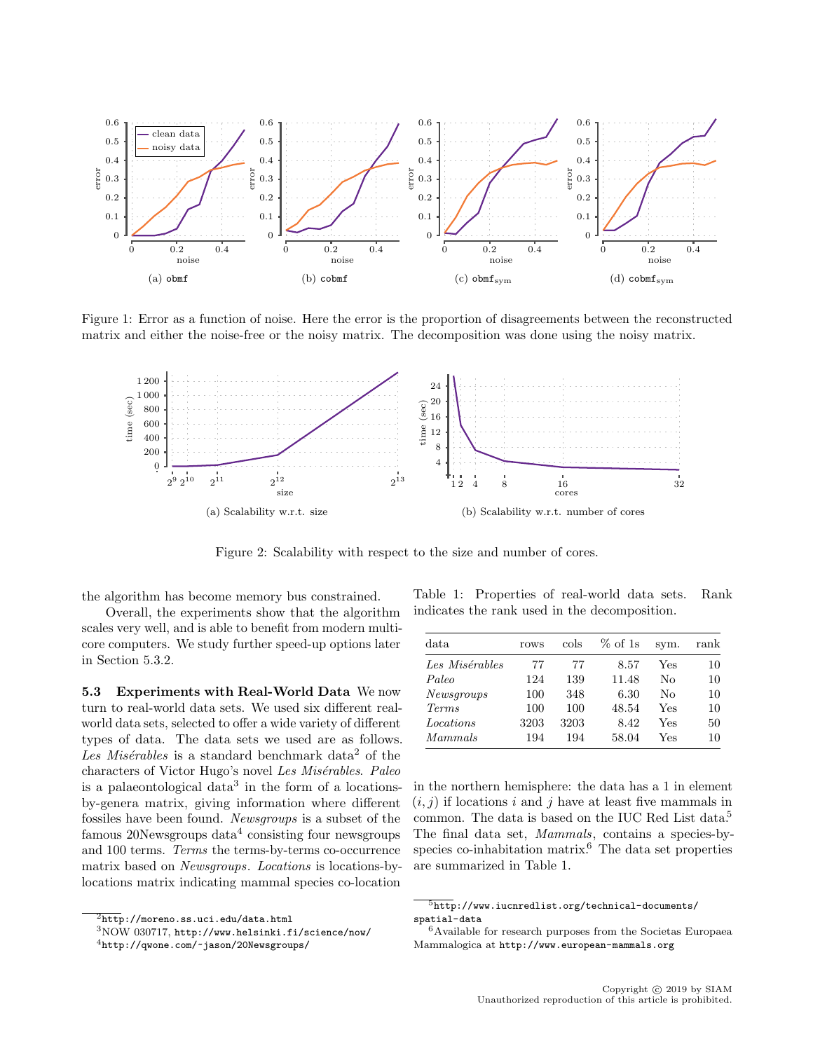

Figure 1: Error as a function of noise. Here the error is the proportion of disagreements between the reconstructed matrix and either the noise-free or the noisy matrix. The decomposition was done using the noisy matrix.



Figure 2: Scalability with respect to the size and number of cores.

the algorithm has become memory bus constrained.

Overall, the experiments show that the algorithm scales very well, and is able to benefit from modern multicore computers. We study further speed-up options later in Section 5.3.2.

5.3 Experiments with Real-World Data We now turn to real-world data sets. We used six different realworld data sets, selected to offer a wide variety of different types of data. The data sets we used are as follows. Les Misérables is a standard benchmark data<sup>2</sup> of the characters of Victor Hugo's novel Les Misérables. Paleo is a palaeontological data<sup>3</sup> in the form of a locationsby-genera matrix, giving information where different fossiles have been found. Newsgroups is a subset of the  $f$ amous  $20$ Newsgroups  $data<sup>4</sup>$  consisting four newsgroups and 100 terms. Terms the terms-by-terms co-occurrence matrix based on Newsgroups. Locations is locations-bylocations matrix indicating mammal species co-location

Table 1: Properties of real-world data sets. Rank indicates the rank used in the decomposition.

| data              | rows | cols | $%$ of 1s | sym. | rank |
|-------------------|------|------|-----------|------|------|
| Les Misérables    | 77   | 77   | 8.57      | Yes  | 10   |
| Paleo             | 124  | 139  | 11.48     | No   | 10   |
| Newsgroups        | 100  | 348  | 6.30      | Nο   | 10   |
| Term <sub>s</sub> | 100  | 100  | 48.54     | Yes  | 10   |
| Locations         | 3203 | 3203 | 8.42      | Yes  | 50   |
| Mammals           | 194  | 194  | 58.04     | Yes  | 10   |

in the northern hemisphere: the data has a 1 in element  $(i, j)$  if locations i and j have at least five mammals in common. The data is based on the IUC Red List data.<sup>5</sup> The final data set, Mammals, contains a species-byspecies co-inhabitation matrix. $6$  The data set properties are summarized in Table 1.

 $\overline{\text{2} \text{http://moreno.ss.uci.edu/data.html}}$ 

<sup>3</sup>NOW 030717, http://www.helsinki.fi/science/now/

 $^4$ http://qwone.com/~jason/20Newsgroups/

 $\frac{5}{5}$ http://www.iucnredlist.org/technical-documents/ spatial-data

 $^6\text{Available}$  for research purposes from the Societas Europaea Mammalogica at http://www.european-mammals.org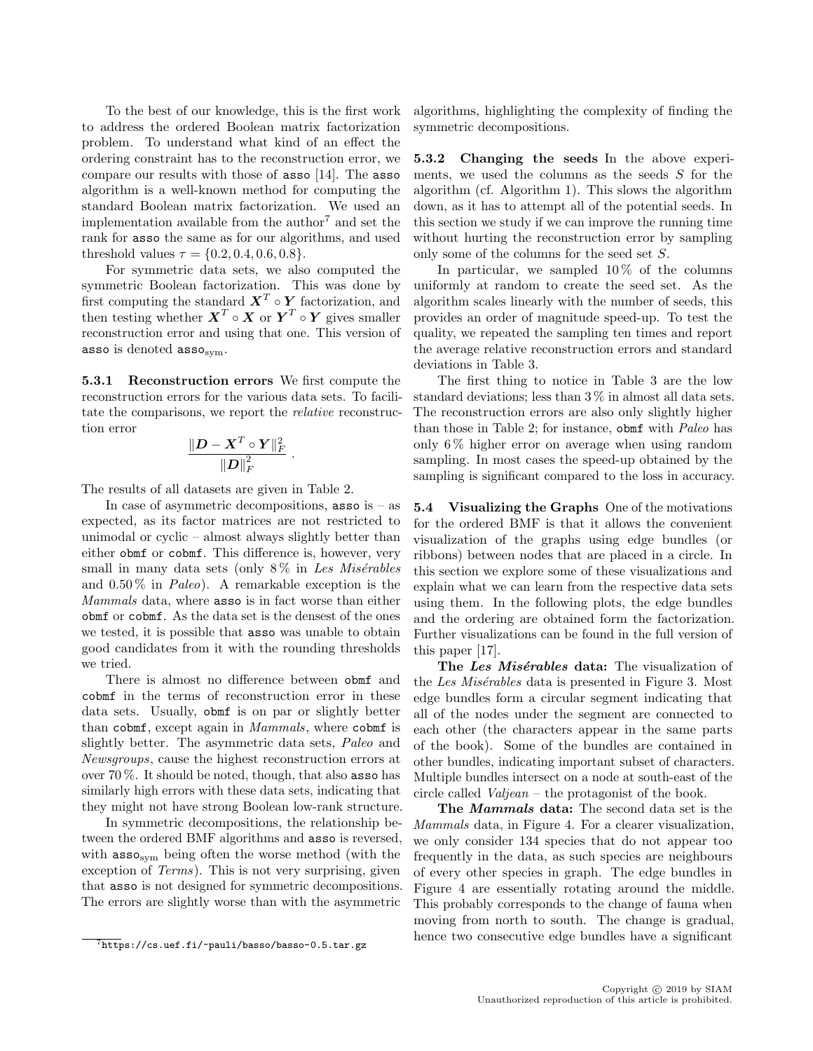To the best of our knowledge, this is the first work to address the ordered Boolean matrix factorization problem. To understand what kind of an effect the ordering constraint has to the reconstruction error, we compare our results with those of asso [14]. The asso algorithm is a well-known method for computing the standard Boolean matrix factorization. We used an implementation available from the author<sup>7</sup> and set the rank for asso the same as for our algorithms, and used threshold values  $\tau = \{0.2, 0.4, 0.6, 0.8\}.$ 

For symmetric data sets, we also computed the symmetric Boolean factorization. This was done by first computing the standard  $X^T \circ Y$  factorization, and then testing whether  $X^T \circ X$  or  $Y^T \circ Y$  gives smaller reconstruction error and using that one. This version of asso is denoted  $\texttt{assoc}_{\text{sym}}$ .

5.3.1 Reconstruction errors We first compute the reconstruction errors for the various data sets. To facilitate the comparisons, we report the relative reconstruction error

$$
\frac{\|\boldsymbol{D}-\boldsymbol{X}^T\circ\boldsymbol{Y}\|_F^2}{\|\boldsymbol{D}\|_F^2}
$$

.

The results of all datasets are given in Table 2.

In case of asymmetric decompositions,  $\text{asso is} - \text{as}$ expected, as its factor matrices are not restricted to unimodal or cyclic – almost always slightly better than either obmf or cobmf. This difference is, however, very small in many data sets (only  $8\%$  in Les Misérables and  $0.50\%$  in *Paleo*). A remarkable exception is the Mammals data, where asso is in fact worse than either obmf or cobmf. As the data set is the densest of the ones we tested, it is possible that asso was unable to obtain good candidates from it with the rounding thresholds we tried.

There is almost no difference between obmf and cobmf in the terms of reconstruction error in these data sets. Usually, obmf is on par or slightly better than cobmf, except again in *Mammals*, where cobmf is slightly better. The asymmetric data sets, Paleo and Newsgroups, cause the highest reconstruction errors at over 70 %. It should be noted, though, that also asso has similarly high errors with these data sets, indicating that they might not have strong Boolean low-rank structure.

In symmetric decompositions, the relationship between the ordered BMF algorithms and asso is reversed, with  $\text{asso}_{sym}$  being often the worse method (with the exception of Terms). This is not very surprising, given that asso is not designed for symmetric decompositions. The errors are slightly worse than with the asymmetric

algorithms, highlighting the complexity of finding the symmetric decompositions.

5.3.2 Changing the seeds In the above experiments, we used the columns as the seeds  $S$  for the algorithm (cf. Algorithm 1). This slows the algorithm down, as it has to attempt all of the potential seeds. In this section we study if we can improve the running time without hurting the reconstruction error by sampling only some of the columns for the seed set S.

In particular, we sampled  $10\%$  of the columns uniformly at random to create the seed set. As the algorithm scales linearly with the number of seeds, this provides an order of magnitude speed-up. To test the quality, we repeated the sampling ten times and report the average relative reconstruction errors and standard deviations in Table 3.

The first thing to notice in Table 3 are the low standard deviations; less than 3 % in almost all data sets. The reconstruction errors are also only slightly higher than those in Table 2; for instance, obmf with Paleo has only 6 % higher error on average when using random sampling. In most cases the speed-up obtained by the sampling is significant compared to the loss in accuracy.

5.4 Visualizing the Graphs One of the motivations for the ordered BMF is that it allows the convenient visualization of the graphs using edge bundles (or ribbons) between nodes that are placed in a circle. In this section we explore some of these visualizations and explain what we can learn from the respective data sets using them. In the following plots, the edge bundles and the ordering are obtained form the factorization. Further visualizations can be found in the full version of this paper [17].

The Les Misérables data: The visualization of the Les Misérables data is presented in Figure 3. Most edge bundles form a circular segment indicating that all of the nodes under the segment are connected to each other (the characters appear in the same parts of the book). Some of the bundles are contained in other bundles, indicating important subset of characters. Multiple bundles intersect on a node at south-east of the circle called Valjean – the protagonist of the book.

The Mammals data: The second data set is the Mammals data, in Figure 4. For a clearer visualization, we only consider 134 species that do not appear too frequently in the data, as such species are neighbours of every other species in graph. The edge bundles in Figure 4 are essentially rotating around the middle. This probably corresponds to the change of fauna when moving from north to south. The change is gradual, hence two consecutive edge bundles have a significant

 $\frac{7}{7}$ https://cs.uef.fi/~pauli/basso/basso-0.5.tar.gz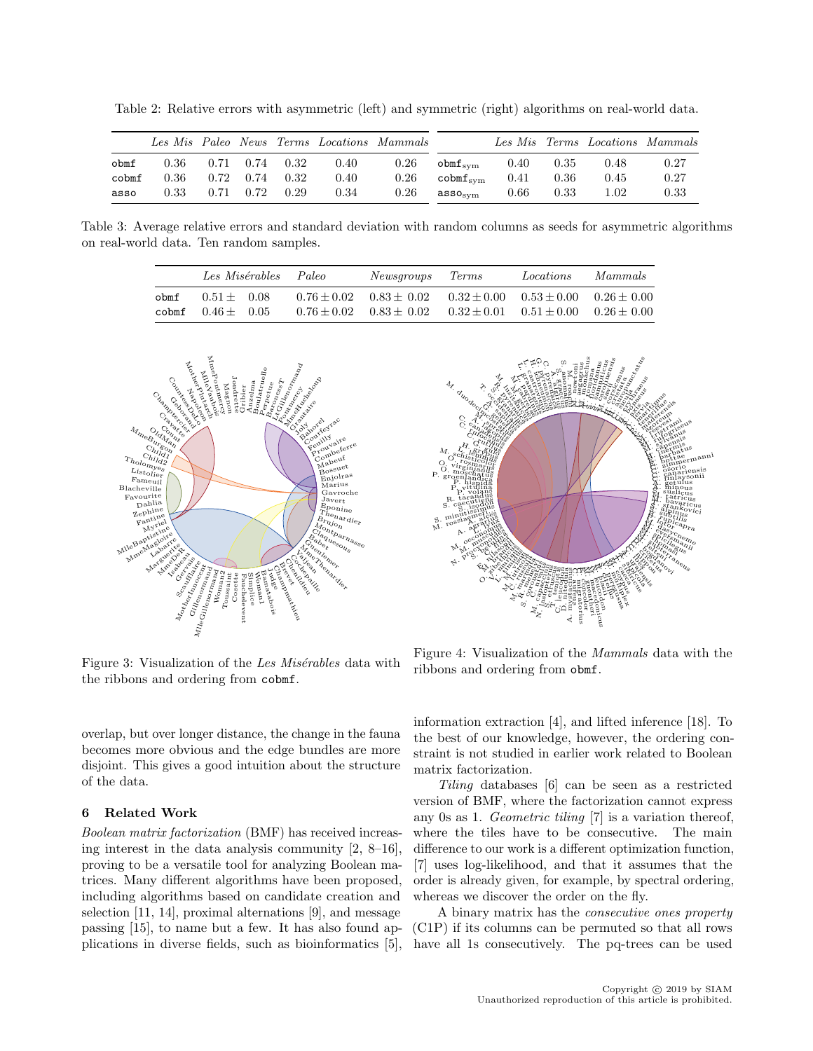Table 2: Relative errors with asymmetric (left) and symmetric (right) algorithms on real-world data.

|       |      |      |      |               |      | Les Mis Paleo News Terms Locations Mammals |                               |      |      |      | Les Mis Terms Locations Mammals |
|-------|------|------|------|---------------|------|--------------------------------------------|-------------------------------|------|------|------|---------------------------------|
| obmf  | 0.36 | 0.71 |      | $0.74$ $0.32$ | 0.40 | 0.26                                       | $obm f_{\rm{sym}}$            | 0.40 | 0.35 | 0.48 | 0.27                            |
| cobmf | 0.36 | 0.72 |      | $0.74$ $0.32$ | 0.40 | 0.26                                       | $\texttt{cobmf}_{\text{sym}}$ | 0.41 | 0.36 | 0.45 | 0.27                            |
| asso  | 0.33 | 0.71 | 0.72 | 0.29          | 0.34 | 0.26                                       | $ass_{\rm SVM}$               | 0.66 | 0.33 | 1.02 | $\rm 0.33$                      |

Table 3: Average relative errors and standard deviation with random columns as seeds for asymmetric algorithms on real-world data. Ten random samples.

|      | Les Misérables      |  | Newsgroups Terms<br>Paleo |                             |                                                 | Locations                       | Mammals |
|------|---------------------|--|---------------------------|-----------------------------|-------------------------------------------------|---------------------------------|---------|
| obmf | $0.51 + 0.08$       |  |                           | $0.76 + 0.02$ $0.83 + 0.02$ | $0.32 + 0.00$                                   | $0.53 \pm 0.00$ $0.26 \pm 0.00$ |         |
|      | cobmf $0.46 + 0.05$ |  |                           | $0.76 + 0.02$ $0.83 + 0.02$ | $0.32 \pm 0.01$ $0.51 \pm 0.00$ $0.26 \pm 0.00$ |                                 |         |





Figure 3: Visualization of the Les Misérables data with the ribbons and ordering from cobmf.

overlap, but over longer distance, the change in the fauna becomes more obvious and the edge bundles are more disjoint. This gives a good intuition about the structure of the data.

## 6 Related Work

Boolean matrix factorization (BMF) has received increasing interest in the data analysis community [2, 8–16], proving to be a versatile tool for analyzing Boolean matrices. Many different algorithms have been proposed, including algorithms based on candidate creation and selection [11, 14], proximal alternations [9], and message passing [15], to name but a few. It has also found applications in diverse fields, such as bioinformatics [5],

Figure 4: Visualization of the Mammals data with the ribbons and ordering from obmf.

information extraction [4], and lifted inference [18]. To the best of our knowledge, however, the ordering constraint is not studied in earlier work related to Boolean matrix factorization.

Tiling databases [6] can be seen as a restricted version of BMF, where the factorization cannot express any 0s as 1. Geometric tiling [7] is a variation thereof, where the tiles have to be consecutive. The main difference to our work is a different optimization function, [7] uses log-likelihood, and that it assumes that the order is already given, for example, by spectral ordering, whereas we discover the order on the fly.

A binary matrix has the consecutive ones property (C1P) if its columns can be permuted so that all rows have all 1s consecutively. The pq-trees can be used